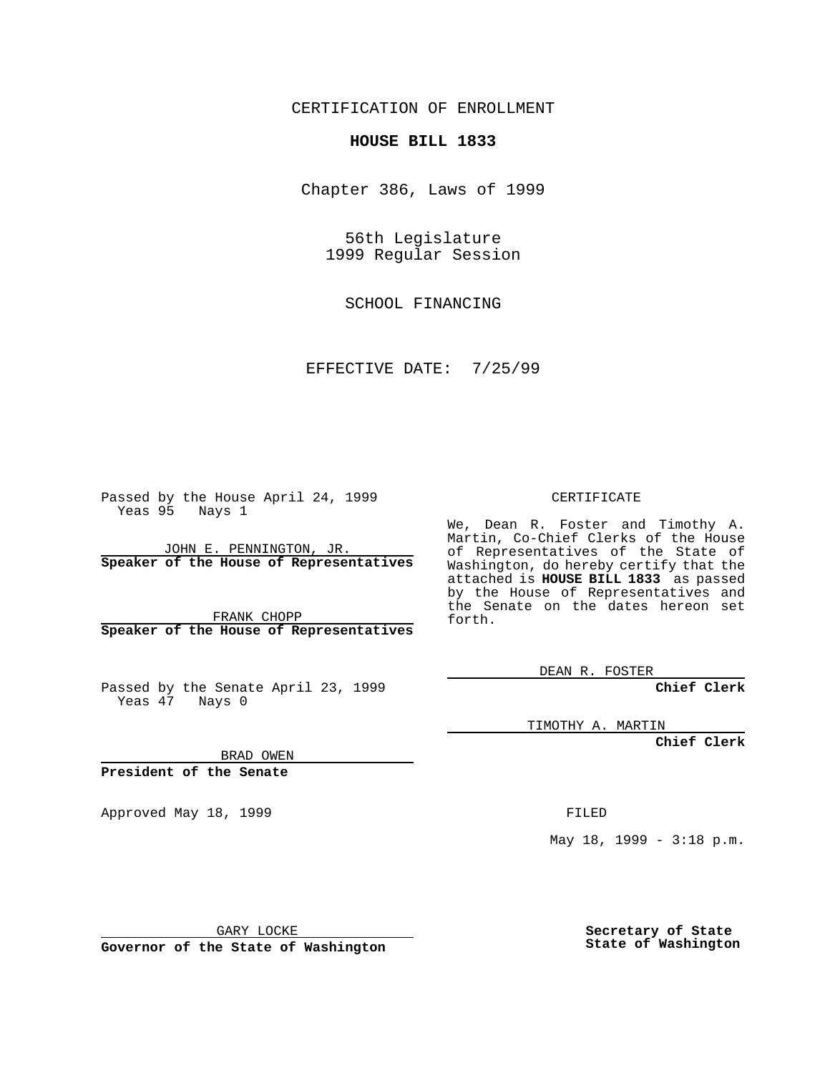CERTIFICATION OF ENROLLMENT

## **HOUSE BILL 1833**

Chapter 386, Laws of 1999

56th Legislature 1999 Regular Session

SCHOOL FINANCING

EFFECTIVE DATE: 7/25/99

Passed by the House April 24, 1999 Yeas 95 Nays 1

JOHN E. PENNINGTON, JR. **Speaker of the House of Representatives**

FRANK CHOPP **Speaker of the House of Representatives**

Passed by the Senate April 23, 1999 Yeas 47 Nays 0

CERTIFICATE

We, Dean R. Foster and Timothy A. Martin, Co-Chief Clerks of the House of Representatives of the State of Washington, do hereby certify that the attached is **HOUSE BILL 1833** as passed by the House of Representatives and the Senate on the dates hereon set forth.

DEAN R. FOSTER

**Chief Clerk**

TIMOTHY A. MARTIN

**Chief Clerk**

BRAD OWEN

**President of the Senate**

Approved May 18, 1999 **FILED** 

May 18, 1999 - 3:18 p.m.

GARY LOCKE

**Governor of the State of Washington**

**Secretary of State State of Washington**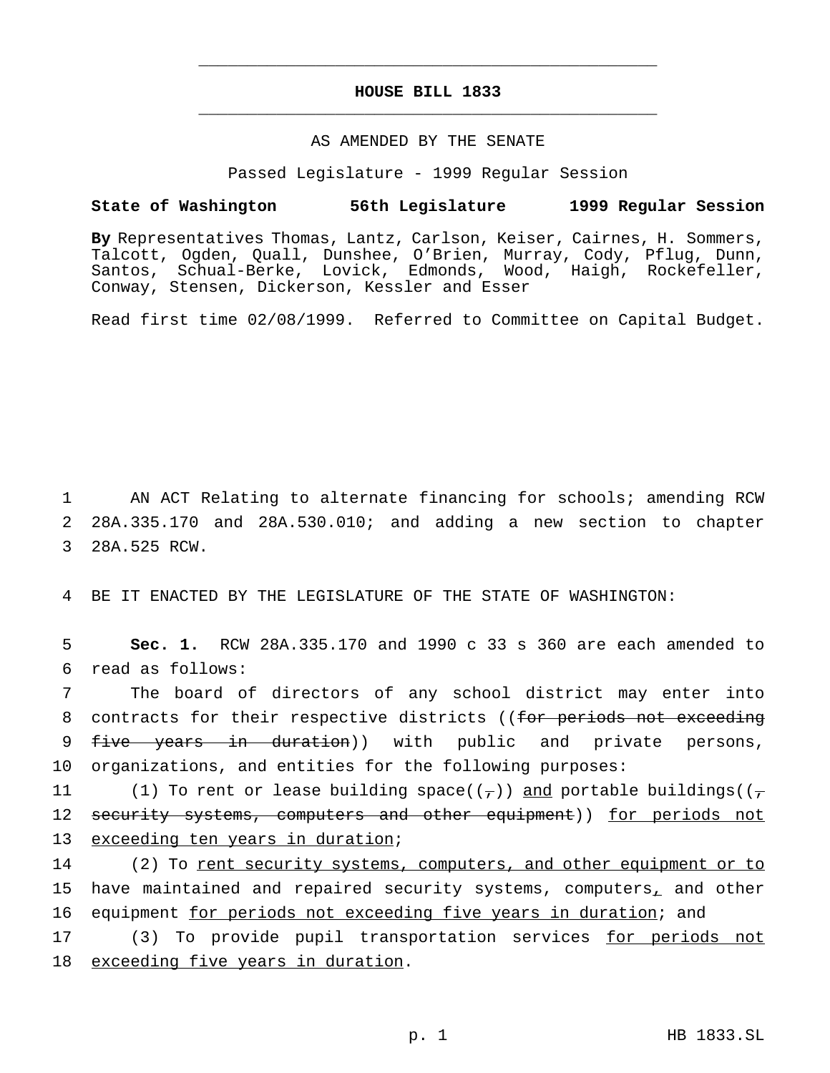## **HOUSE BILL 1833** \_\_\_\_\_\_\_\_\_\_\_\_\_\_\_\_\_\_\_\_\_\_\_\_\_\_\_\_\_\_\_\_\_\_\_\_\_\_\_\_\_\_\_\_\_\_\_

\_\_\_\_\_\_\_\_\_\_\_\_\_\_\_\_\_\_\_\_\_\_\_\_\_\_\_\_\_\_\_\_\_\_\_\_\_\_\_\_\_\_\_\_\_\_\_

## AS AMENDED BY THE SENATE

Passed Legislature - 1999 Regular Session

## **State of Washington 56th Legislature 1999 Regular Session**

**By** Representatives Thomas, Lantz, Carlson, Keiser, Cairnes, H. Sommers, Talcott, Ogden, Quall, Dunshee, O'Brien, Murray, Cody, Pflug, Dunn, Santos, Schual-Berke, Lovick, Edmonds, Wood, Haigh, Rockefeller, Conway, Stensen, Dickerson, Kessler and Esser

Read first time 02/08/1999. Referred to Committee on Capital Budget.

1 AN ACT Relating to alternate financing for schools; amending RCW 2 28A.335.170 and 28A.530.010; and adding a new section to chapter 3 28A.525 RCW.

4 BE IT ENACTED BY THE LEGISLATURE OF THE STATE OF WASHINGTON:

5 **Sec. 1.** RCW 28A.335.170 and 1990 c 33 s 360 are each amended to 6 read as follows:

7 The board of directors of any school district may enter into 8 contracts for their respective districts ((for periods not exceeding 9 five years in duration)) with public and private persons, 10 organizations, and entities for the following purposes:

11 (1) To rent or lease building space(( $\tau$ )) and portable buildings(( $\tau$ 12 security systems, computers and other equipment)) for periods not 13 exceeding ten years in duration;

14 (2) To rent security systems, computers, and other equipment or to 15 have maintained and repaired security systems, computers, and other 16 equipment for periods not exceeding five years in duration; and

17 (3) To provide pupil transportation services for periods not 18 exceeding five years in duration.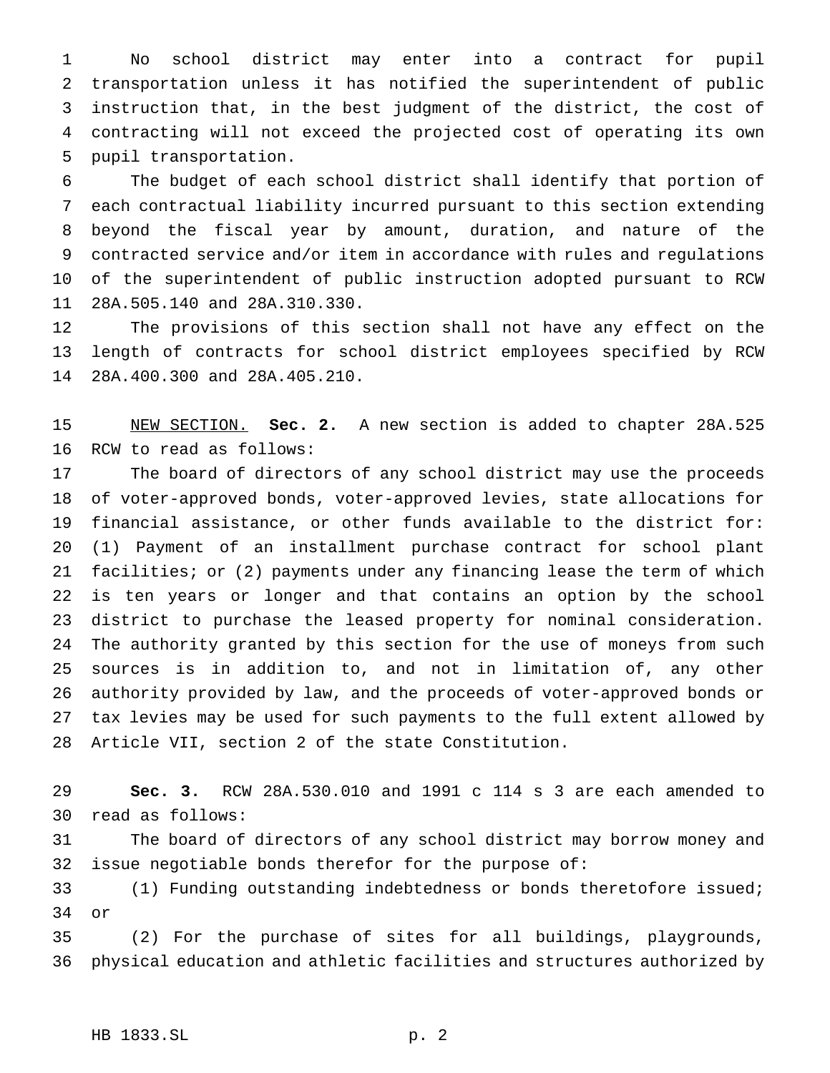No school district may enter into a contract for pupil transportation unless it has notified the superintendent of public instruction that, in the best judgment of the district, the cost of contracting will not exceed the projected cost of operating its own pupil transportation.

 The budget of each school district shall identify that portion of each contractual liability incurred pursuant to this section extending beyond the fiscal year by amount, duration, and nature of the contracted service and/or item in accordance with rules and regulations of the superintendent of public instruction adopted pursuant to RCW 28A.505.140 and 28A.310.330.

 The provisions of this section shall not have any effect on the length of contracts for school district employees specified by RCW 28A.400.300 and 28A.405.210.

 NEW SECTION. **Sec. 2.** A new section is added to chapter 28A.525 RCW to read as follows:

 The board of directors of any school district may use the proceeds of voter-approved bonds, voter-approved levies, state allocations for financial assistance, or other funds available to the district for: (1) Payment of an installment purchase contract for school plant facilities; or (2) payments under any financing lease the term of which is ten years or longer and that contains an option by the school district to purchase the leased property for nominal consideration. The authority granted by this section for the use of moneys from such sources is in addition to, and not in limitation of, any other authority provided by law, and the proceeds of voter-approved bonds or tax levies may be used for such payments to the full extent allowed by Article VII, section 2 of the state Constitution.

 **Sec. 3.** RCW 28A.530.010 and 1991 c 114 s 3 are each amended to read as follows:

 The board of directors of any school district may borrow money and issue negotiable bonds therefor for the purpose of:

 (1) Funding outstanding indebtedness or bonds theretofore issued; or

 (2) For the purchase of sites for all buildings, playgrounds, physical education and athletic facilities and structures authorized by